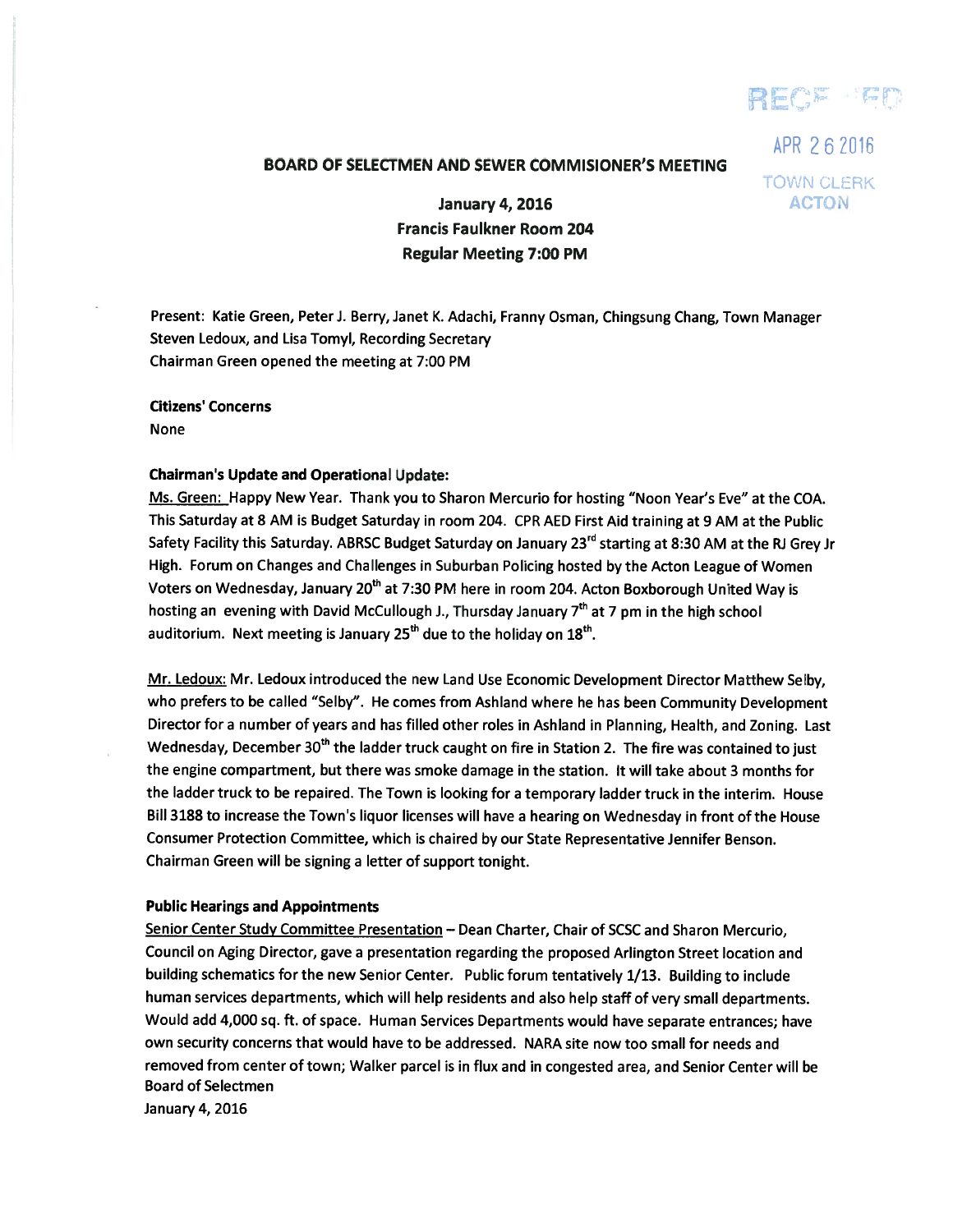REC<sup>E</sup> EM

# BOARD OF SELECTMEN AND SEWER COMMISIONER'S MEETING

APR 262016 TOWN CLERK

January 4, 2016 **ACTON** Francis Faulkner Room 204 Regular Meeting 7:00 PM

Present: Katie Green, Peter J. Berry, Janet K. Adachi, Franny Osman, Chingsung Chang, Town Manager Steven Ledoux, and Lisa Tomyl, Recording Secretary Chairman Green opened the meeting at 7:00 PM

Citizens' Concerns None

#### Chairman's Update and Operational Update:

Ms. Green: Happy New Year. Thank you to Sharon Mercurio for hosting "Noon Year's Eve" at the COA. This Saturday at <sup>8</sup> AM is Budget Saturday in room 204. CPR AED First Aid training at <sup>9</sup> AM at the Public Safety Facility this Saturday. ABRSC Budget Saturday on January 23<sup>rd</sup> starting at 8:30 AM at the RJ Grey Jr High. Forum on Changes and Challenges in Suburban Policing hosted by the Acton League of Women Voters on Wednesday, January 20<sup>th</sup> at 7:30 PM here in room 204. Acton Boxborough United Way is hosting an evening with David McCullough J., Thursday January  $7<sup>th</sup>$  at 7 pm in the high school auditorium. Next meeting is January  $25<sup>th</sup>$  due to the holiday on  $18<sup>th</sup>$ .

Mr. Ledoux: Mr. Ledoux introduced the new Land Use Economic Development Director Matthew Selby, who prefers to be called "Selby". He comes from Ashland where he has been Community Development Director for <sup>a</sup> number of years and has filled other roles in Ashland in Planning, Health, and Zoning. Last Wednesday, December 30<sup>th</sup> the ladder truck caught on fire in Station 2. The fire was contained to just the engine compartment, but there was smoke damage in the station. It will take about 3 months for the ladder truck to be repaired. The Town is looking for <sup>a</sup> temporary ladder truck in the interim. House Bill 3188 to increase the Town's liquor licenses will have <sup>a</sup> hearing on Wednesday in front of the House Consumer Protection Committee, which is chaired by our State Representative Jennifer Benson. Chairman Green will be signing <sup>a</sup> letter of suppor<sup>t</sup> tonight.

#### Public Hearings and Appointments

Senior Center Study Committee Presentation - Dean Charter, Chair of SCSC and Sharon Mercurio, Council on Aging Director, gave <sup>a</sup> presentation regarding the proposed Arlington Street location and building schematics for the new Senior Center. Public forum tentatively 1/13. Building to include human services departments, which will help residents and also help staff of very small departments. Would add 4,000 sq. ft. of space. Human Services Departments would have separate entrances; have own security concerns that would have to be addressed. NARA site now too small for needs and removed from center of town; Walker parcel is in flux and in congested area, and Senior Center will be Board of Selectmen

January 4, 2016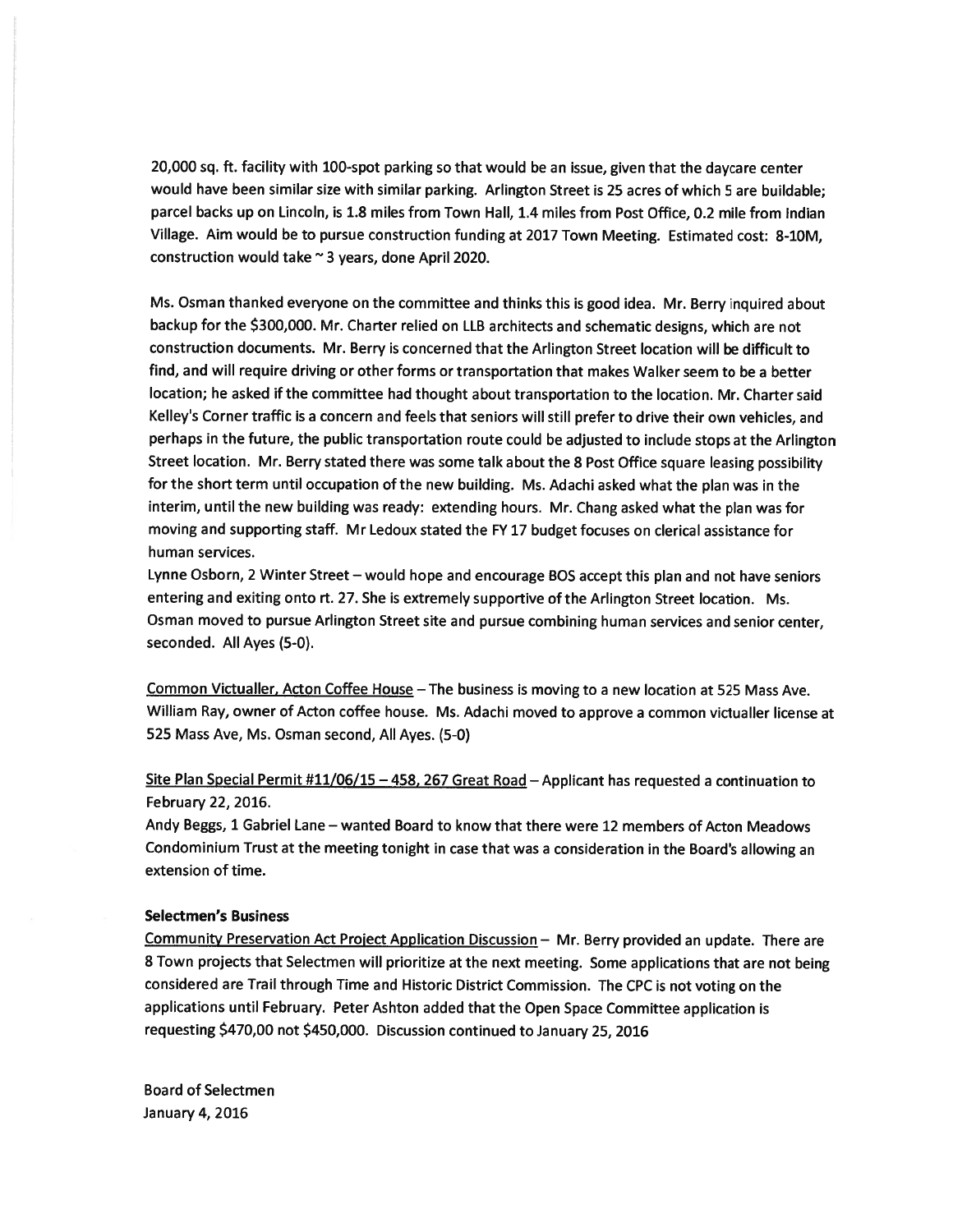20,000 sq. ft. facility with 100-spot parking so that would be an issue, <sup>g</sup>iven that the daycare center would have been similar size with similar parking. Arlington Street is 25 acres of which 5 are buildable; parcel backs up on Lincoln, is 1.8 miles from Town Hall, 1.4 miles from Post Office, 0.2 mile from Indian Village. Aim would be to pursue construction funding at 2017 Town Meeting. Estimated cost: 8-1OM, construction would take  $\sim$  3 years, done April 2020.

Ms. Osman thanked everyone on the committee and thinks this is goo<sup>d</sup> idea. Mr. Berry inquired about backup for the \$300,000. Mr. Charter relied on LLB architects and schematic designs, which are not construction documents. Mr. Berry is concerned that the Arlington Street location will be difficult to find, and will require driving or other forms or transportation that makes Walker seem to be <sup>a</sup> better location; he asked if the committee had thought about transportation to the location. Mr. Charter said Kelley's Corner traffic is <sup>a</sup> concern and feels that seniors will still prefer to drive their own vehicles, and perhaps in the future, the public transportation route could be adjusted to include stops at the Arlington Street location. Mr. Berry stated there was some talk about the <sup>8</sup> Post Office square leasing possibility for the short term until occupation of the new building. Ms. Adachi asked what the <sup>p</sup>lan was in the interim, until the new building was ready: extending hours. Mr. Chang asked what the <sup>p</sup>lan was for moving and supporting staff. Mr Ledoux stated the FY <sup>17</sup> budget focuses on clerical assistance for human services.

Lynne Osborn, <sup>2</sup> Winter Street — would hope and encourage BOS accep<sup>t</sup> this <sup>p</sup>lan and not have seniors entering and exiting onto rt. 27. She is extremely supportive of the Arlington Street location. Ms. Osman moved to pursue Arlington Street site and pursue combining human services and senior center, seconded. All Ayes (5-0).

Common Victualler, Acton Coffee House - The business is moving to a new location at 525 Mass Ave. William Ray, owner of Acton coffee house. Ms. Adachi moved to approve <sup>a</sup> common victualler license at 525 Mass Aye, Ms. Osman second, All Ayes. (5-0)

Site Plan Special Permit #11/06/15 - 458, 267 Great Road - Applicant has requested a continuation to February 22, 2016.

Andy Beggs, 1 Gabriel Lane — wanted Board to know that there were 12 members of Acton Meadows Condominium Trust at the meeting tonight in case that was a consideration in the Board's allowing an extension of time.

### Selectmen's Business

Community Preservation Act Proiect Application Discussion — Mr. Berry provided an update. There are <sup>8</sup> Town projects that Selectmen will prioritize at the next meeting. Some applications that are not being considered are Trail through Time and Historic District Commission. The CPC is not voting on the applications until February. Peter Ashton added that the Open Space Committee application is requesting \$470,00 not \$450,000. Discussion continued to January 25, <sup>2016</sup>

Board of Selectmen January 4, 2016